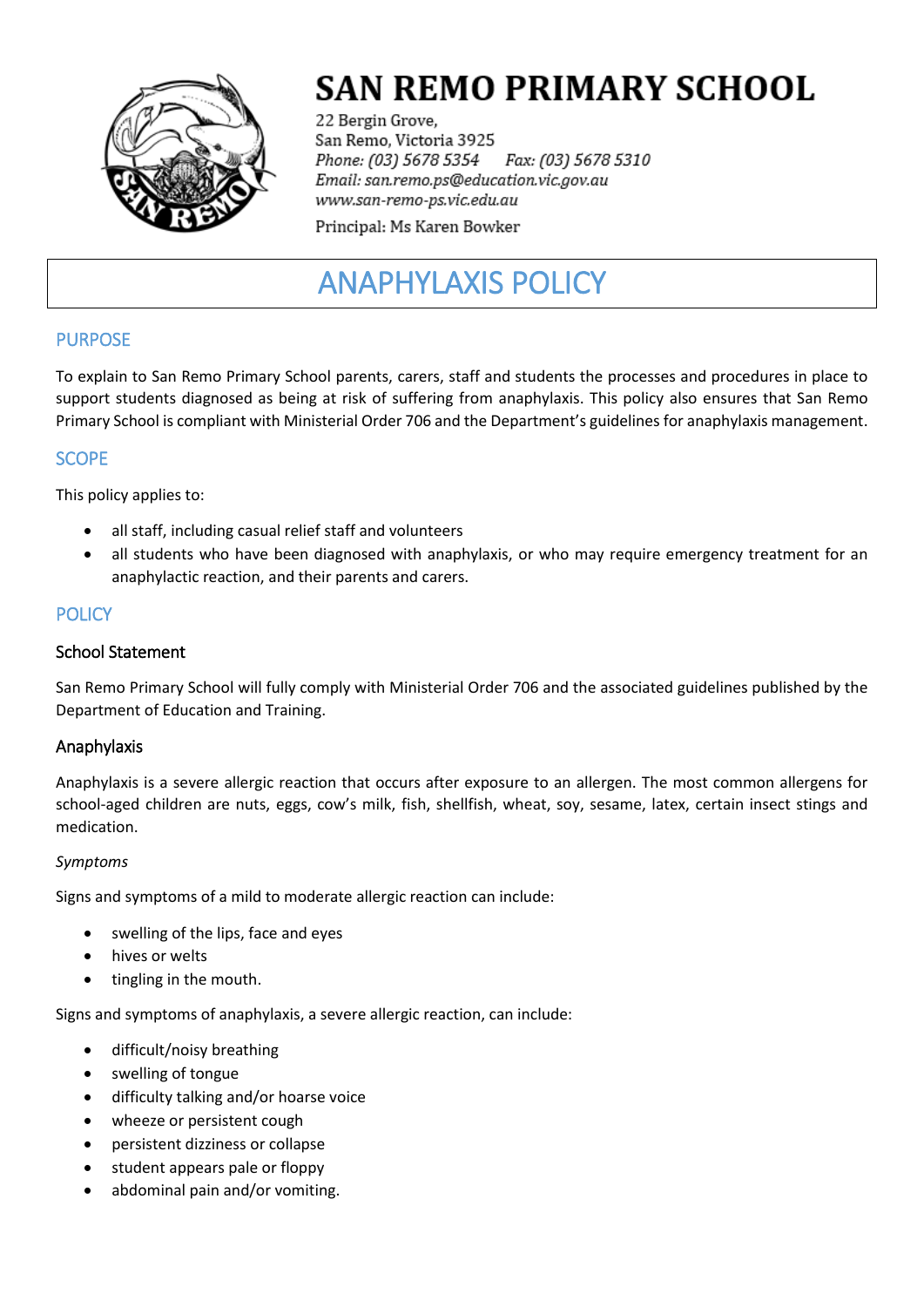

# **SAN REMO PRIMARY SCHOOL**

22 Bergin Grove, San Remo, Victoria 3925 Phone: (03) 5678 5354 Fax: (03) 5678 5310 Email: san.remo.ps@education.vic.gov.au www.san-remo-ps.vic.edu.au

Principal: Ms Karen Bowker

# ANAPHYLAXIS POLICY

# PURPOSE

To explain to San Remo Primary School parents, carers, staff and students the processes and procedures in place to support students diagnosed as being at risk of suffering from anaphylaxis. This policy also ensures that San Remo Primary School is compliant with Ministerial Order 706 and the Department's guidelines for anaphylaxis management.

# **SCOPE**

This policy applies to:

- all staff, including casual relief staff and volunteers
- all students who have been diagnosed with anaphylaxis, or who may require emergency treatment for an anaphylactic reaction, and their parents and carers.

# **POLICY**

#### School Statement

San Remo Primary School will fully comply with Ministerial Order 706 and the associated guidelines published by the Department of Education and Training.

# Anaphylaxis

Anaphylaxis is a severe allergic reaction that occurs after exposure to an allergen. The most common allergens for school-aged children are nuts, eggs, cow's milk, fish, shellfish, wheat, soy, sesame, latex, certain insect stings and medication.

#### *Symptoms*

Signs and symptoms of a mild to moderate allergic reaction can include:

- swelling of the lips, face and eyes
- hives or welts
- tingling in the mouth.

Signs and symptoms of anaphylaxis, a severe allergic reaction, can include:

- difficult/noisy breathing
- swelling of tongue
- difficulty talking and/or hoarse voice
- wheeze or persistent cough
- persistent dizziness or collapse
- student appears pale or floppy
- abdominal pain and/or vomiting.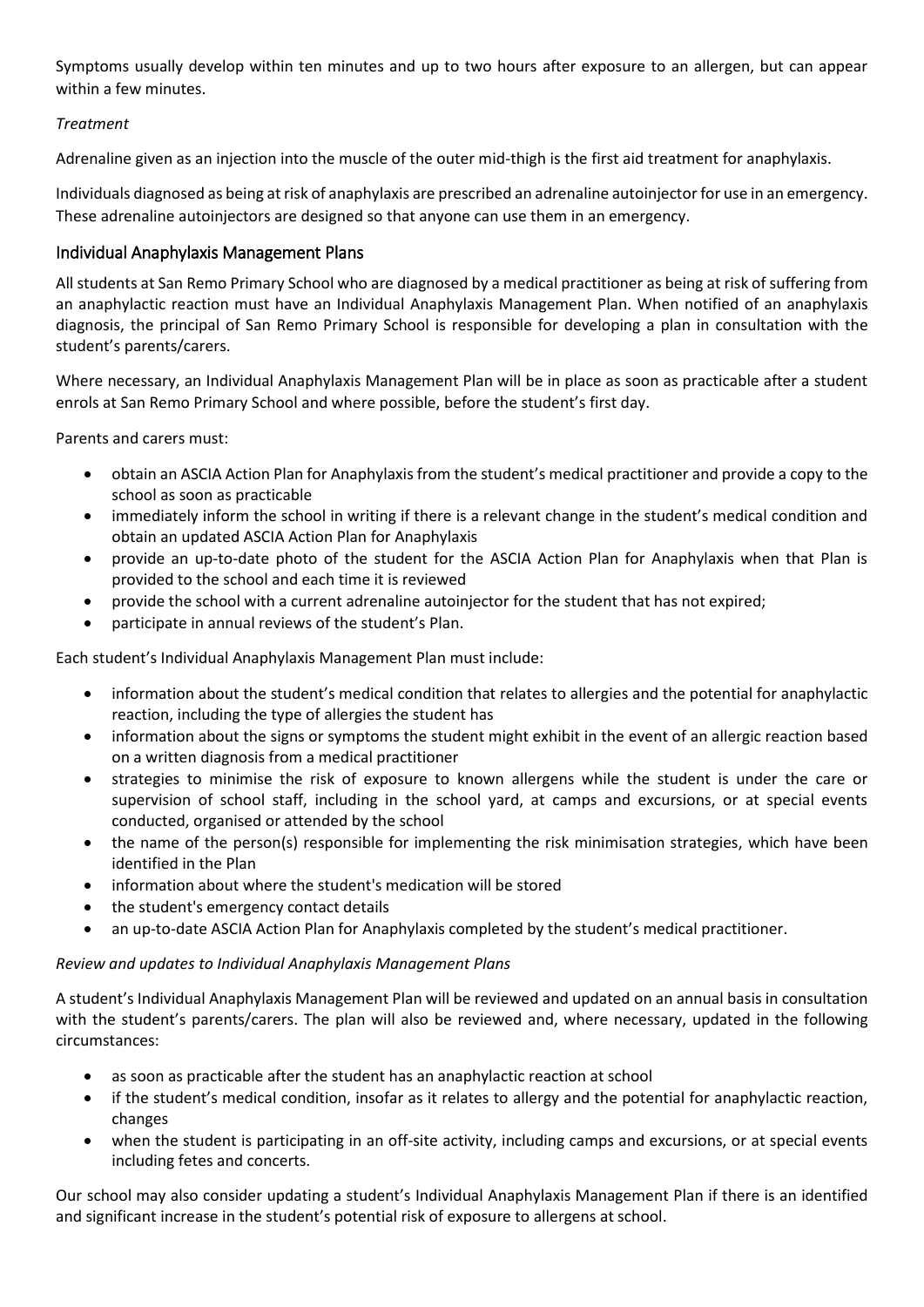Symptoms usually develop within ten minutes and up to two hours after exposure to an allergen, but can appear within a few minutes.

#### *Treatment*

Adrenaline given as an injection into the muscle of the outer mid-thigh is the first aid treatment for anaphylaxis.

Individuals diagnosed as being at risk of anaphylaxis are prescribed an adrenaline autoinjector for use in an emergency. These adrenaline autoinjectors are designed so that anyone can use them in an emergency.

#### Individual Anaphylaxis Management Plans

All students at San Remo Primary School who are diagnosed by a medical practitioner as being at risk of suffering from an anaphylactic reaction must have an Individual Anaphylaxis Management Plan. When notified of an anaphylaxis diagnosis, the principal of San Remo Primary School is responsible for developing a plan in consultation with the student's parents/carers.

Where necessary, an Individual Anaphylaxis Management Plan will be in place as soon as practicable after a student enrols at San Remo Primary School and where possible, before the student's first day.

Parents and carers must:

- obtain an ASCIA Action Plan for Anaphylaxis from the student's medical practitioner and provide a copy to the school as soon as practicable
- immediately inform the school in writing if there is a relevant change in the student's medical condition and obtain an updated ASCIA Action Plan for Anaphylaxis
- provide an up-to-date photo of the student for the ASCIA Action Plan for Anaphylaxis when that Plan is provided to the school and each time it is reviewed
- provide the school with a current adrenaline autoinjector for the student that has not expired;
- participate in annual reviews of the student's Plan.

Each student's Individual Anaphylaxis Management Plan must include:

- information about the student's medical condition that relates to allergies and the potential for anaphylactic reaction, including the type of allergies the student has
- information about the signs or symptoms the student might exhibit in the event of an allergic reaction based on a written diagnosis from a medical practitioner
- strategies to minimise the risk of exposure to known allergens while the student is under the care or supervision of school staff, including in the school yard, at camps and excursions, or at special events conducted, organised or attended by the school
- the name of the person(s) responsible for implementing the risk minimisation strategies, which have been identified in the Plan
- information about where the student's medication will be stored
- the student's emergency contact details
- an up-to-date ASCIA Action Plan for Anaphylaxis completed by the student's medical practitioner.

#### *Review and updates to Individual Anaphylaxis Management Plans*

A student's Individual Anaphylaxis Management Plan will be reviewed and updated on an annual basis in consultation with the student's parents/carers. The plan will also be reviewed and, where necessary, updated in the following circumstances:

- as soon as practicable after the student has an anaphylactic reaction at school
- if the student's medical condition, insofar as it relates to allergy and the potential for anaphylactic reaction, changes
- when the student is participating in an off-site activity, including camps and excursions, or at special events including fetes and concerts.

Our school may also consider updating a student's Individual Anaphylaxis Management Plan if there is an identified and significant increase in the student's potential risk of exposure to allergens at school.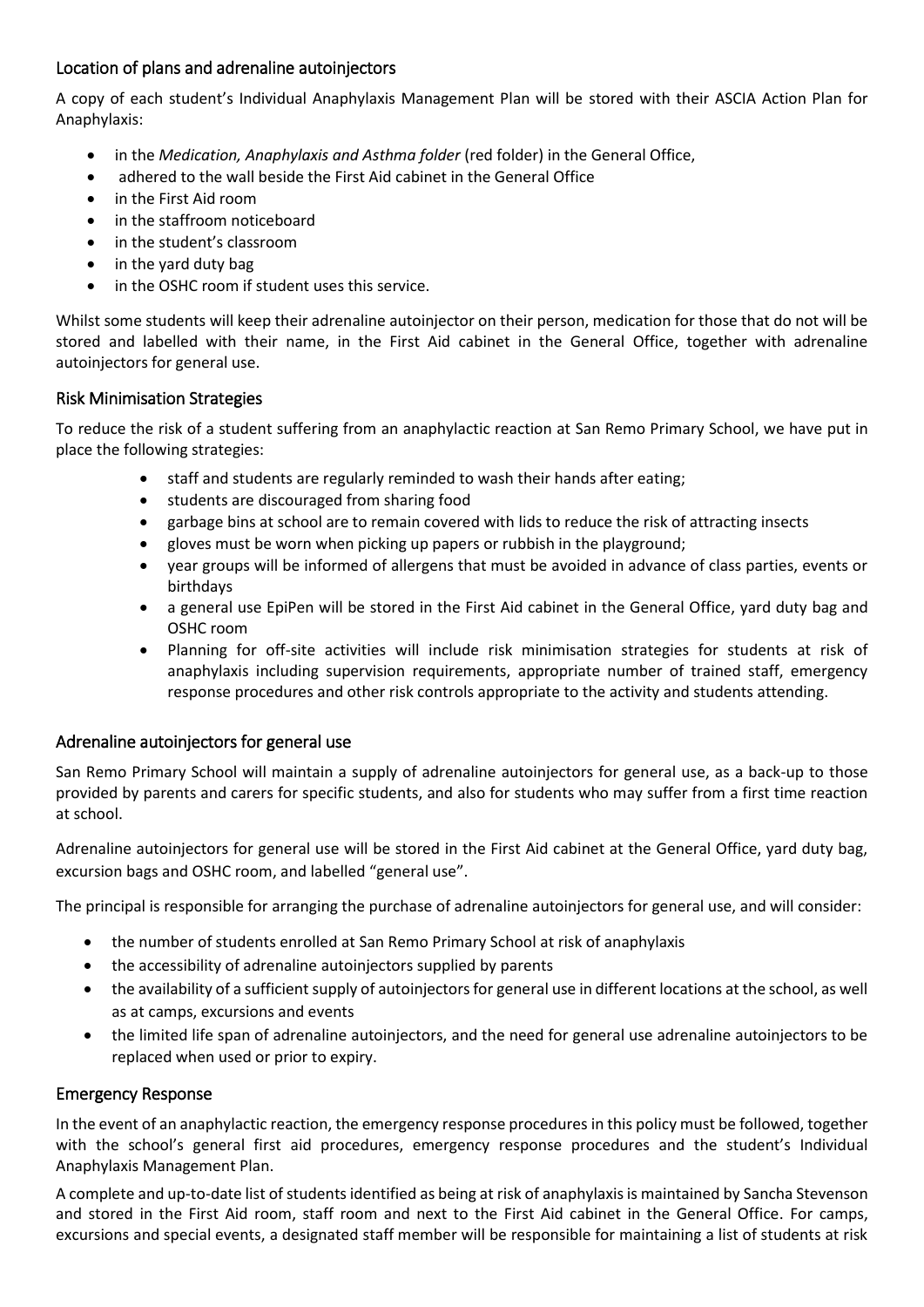# Location of plans and adrenaline autoinjectors

A copy of each student's Individual Anaphylaxis Management Plan will be stored with their ASCIA Action Plan for Anaphylaxis:

- in the *Medication, Anaphylaxis and Asthma folder* (red folder) in the General Office,
- adhered to the wall beside the First Aid cabinet in the General Office
- in the First Aid room
- in the staffroom noticeboard
- in the student's classroom
- in the yard duty bag
- in the OSHC room if student uses this service.

Whilst some students will keep their adrenaline autoinjector on their person, medication for those that do not will be stored and labelled with their name, in the First Aid cabinet in the General Office, together with adrenaline autoinjectors for general use.

#### Risk Minimisation Strategies

To reduce the risk of a student suffering from an anaphylactic reaction at San Remo Primary School, we have put in place the following strategies:

- staff and students are regularly reminded to wash their hands after eating;
- students are discouraged from sharing food
- garbage bins at school are to remain covered with lids to reduce the risk of attracting insects
- gloves must be worn when picking up papers or rubbish in the playground;
- year groups will be informed of allergens that must be avoided in advance of class parties, events or birthdays
- a general use EpiPen will be stored in the First Aid cabinet in the General Office, yard duty bag and OSHC room
- Planning for off-site activities will include risk minimisation strategies for students at risk of anaphylaxis including supervision requirements, appropriate number of trained staff, emergency response procedures and other risk controls appropriate to the activity and students attending.

#### Adrenaline autoinjectors for general use

San Remo Primary School will maintain a supply of adrenaline autoinjectors for general use, as a back-up to those provided by parents and carers for specific students, and also for students who may suffer from a first time reaction at school.

Adrenaline autoinjectors for general use will be stored in the First Aid cabinet at the General Office, yard duty bag, excursion bags and OSHC room, and labelled "general use".

The principal is responsible for arranging the purchase of adrenaline autoinjectors for general use, and will consider:

- the number of students enrolled at San Remo Primary School at risk of anaphylaxis
- the accessibility of adrenaline autoinjectors supplied by parents
- the availability of a sufficient supply of autoinjectors for general use in different locations at the school, as well as at camps, excursions and events
- the limited life span of adrenaline autoinjectors, and the need for general use adrenaline autoinjectors to be replaced when used or prior to expiry.

#### Emergency Response

In the event of an anaphylactic reaction, the emergency response procedures in this policy must be followed, together with the school's general first aid procedures, emergency response procedures and the student's Individual Anaphylaxis Management Plan.

A complete and up-to-date list of students identified as being at risk of anaphylaxis is maintained by Sancha Stevenson and stored in the First Aid room, staff room and next to the First Aid cabinet in the General Office. For camps, excursions and special events, a designated staff member will be responsible for maintaining a list of students at risk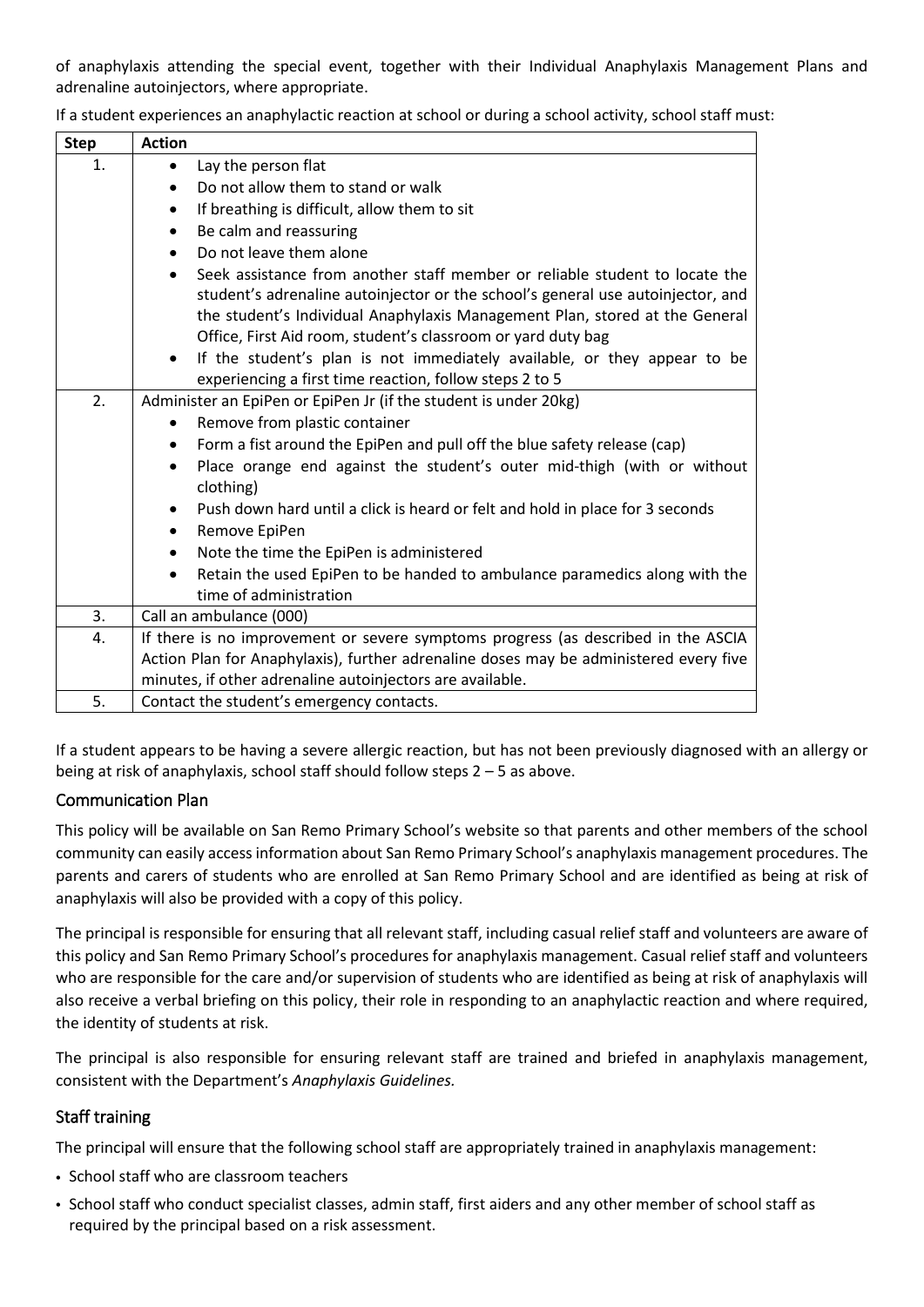of anaphylaxis attending the special event, together with their Individual Anaphylaxis Management Plans and adrenaline autoinjectors, where appropriate.

| <b>Step</b> | <b>Action</b>                                                                                                                                                                                                                                 |
|-------------|-----------------------------------------------------------------------------------------------------------------------------------------------------------------------------------------------------------------------------------------------|
| 1.          | Lay the person flat<br>$\bullet$                                                                                                                                                                                                              |
|             | Do not allow them to stand or walk<br>$\bullet$                                                                                                                                                                                               |
|             | If breathing is difficult, allow them to sit<br>٠                                                                                                                                                                                             |
|             | Be calm and reassuring<br>$\bullet$                                                                                                                                                                                                           |
|             | Do not leave them alone                                                                                                                                                                                                                       |
|             | Seek assistance from another staff member or reliable student to locate the<br>student's adrenaline autoinjector or the school's general use autoinjector, and<br>the student's Individual Anaphylaxis Management Plan, stored at the General |
|             | Office, First Aid room, student's classroom or yard duty bag                                                                                                                                                                                  |
|             | If the student's plan is not immediately available, or they appear to be<br>$\bullet$<br>experiencing a first time reaction, follow steps 2 to 5                                                                                              |
| 2.          | Administer an EpiPen or EpiPen Jr (if the student is under 20kg)                                                                                                                                                                              |
|             | Remove from plastic container                                                                                                                                                                                                                 |
|             | Form a fist around the EpiPen and pull off the blue safety release (cap)                                                                                                                                                                      |
|             | Place orange end against the student's outer mid-thigh (with or without<br>$\bullet$<br>clothing)                                                                                                                                             |
|             | Push down hard until a click is heard or felt and hold in place for 3 seconds<br>Remove EpiPen<br>$\bullet$                                                                                                                                   |
|             | Note the time the EpiPen is administered<br>$\bullet$                                                                                                                                                                                         |
|             | Retain the used EpiPen to be handed to ambulance paramedics along with the<br>time of administration                                                                                                                                          |
| 3.          | Call an ambulance (000)                                                                                                                                                                                                                       |
| 4.          | If there is no improvement or severe symptoms progress (as described in the ASCIA                                                                                                                                                             |
|             | Action Plan for Anaphylaxis), further adrenaline doses may be administered every five                                                                                                                                                         |
|             | minutes, if other adrenaline autoinjectors are available.                                                                                                                                                                                     |
| 5.          | Contact the student's emergency contacts.                                                                                                                                                                                                     |

If a student experiences an anaphylactic reaction at school or during a school activity, school staff must:

If a student appears to be having a severe allergic reaction, but has not been previously diagnosed with an allergy or being at risk of anaphylaxis, school staff should follow steps 2 – 5 as above.

# Communication Plan

This policy will be available on San Remo Primary School's website so that parents and other members of the school community can easily access information about San Remo Primary School's anaphylaxis management procedures. The parents and carers of students who are enrolled at San Remo Primary School and are identified as being at risk of anaphylaxis will also be provided with a copy of this policy.

The principal is responsible for ensuring that all relevant staff, including casual relief staff and volunteers are aware of this policy and San Remo Primary School's procedures for anaphylaxis management. Casual relief staff and volunteers who are responsible for the care and/or supervision of students who are identified as being at risk of anaphylaxis will also receive a verbal briefing on this policy, their role in responding to an anaphylactic reaction and where required, the identity of students at risk.

The principal is also responsible for ensuring relevant staff are trained and briefed in anaphylaxis management, consistent with the Department's *Anaphylaxis Guidelines.*

# Staff training

The principal will ensure that the following school staff are appropriately trained in anaphylaxis management:

- School staff who are classroom teachers
- School staff who conduct specialist classes, admin staff, first aiders and any other member of school staff as required by the principal based on a risk assessment.